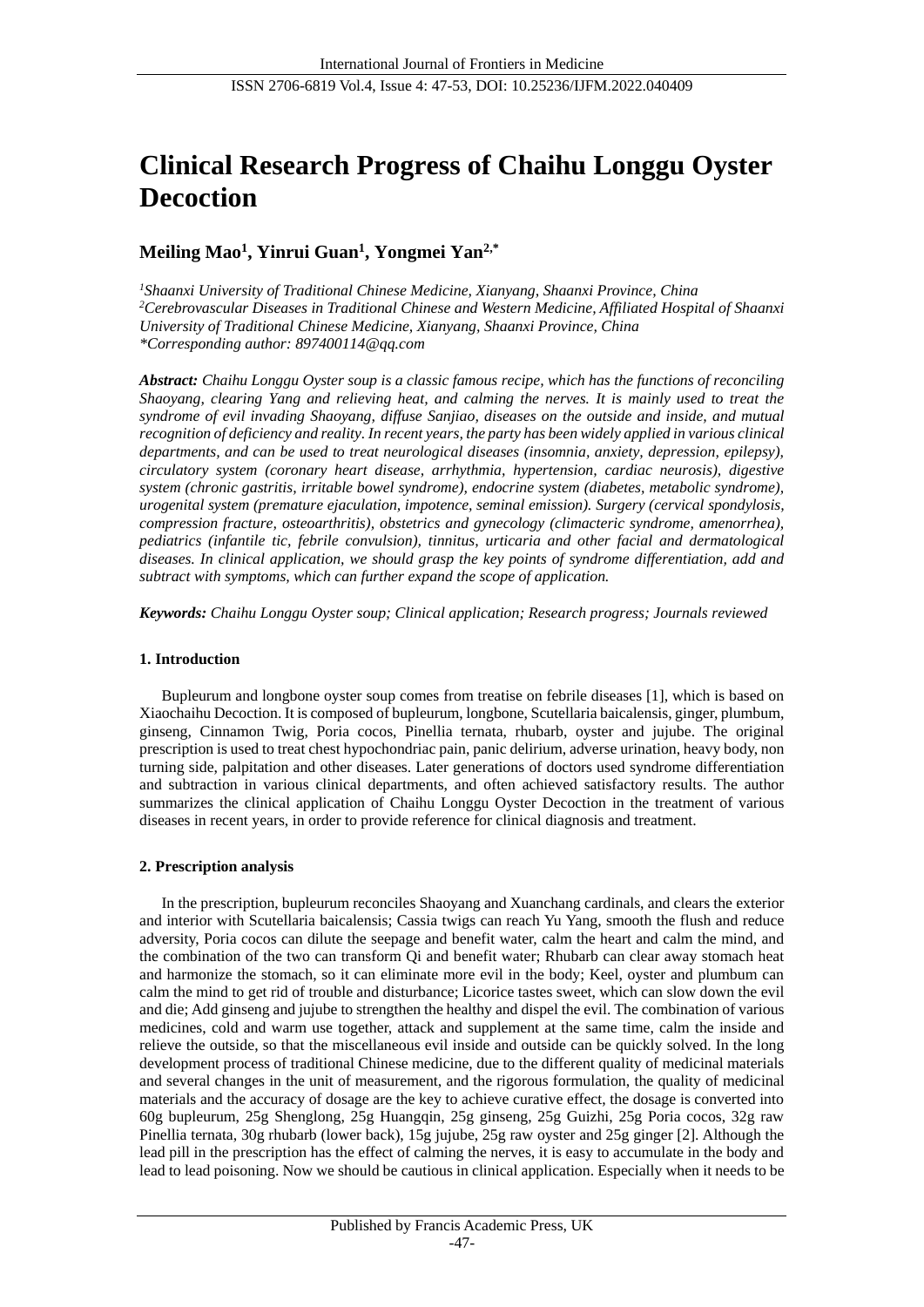# **Clinical Research Progress of Chaihu Longgu Oyster Decoction**

# **Meiling Mao<sup>1</sup> , Yinrui Guan<sup>1</sup> , Yongmei Yan2,\***

*<sup>1</sup>Shaanxi University of Traditional Chinese Medicine, Xianyang, Shaanxi Province, China <sup>2</sup>Cerebrovascular Diseases in Traditional Chinese and Western Medicine, Affiliated Hospital of Shaanxi University of Traditional Chinese Medicine, Xianyang, Shaanxi Province, China \*Corresponding author: 897400114@qq.com*

*Abstract: Chaihu Longgu Oyster soup is a classic famous recipe, which has the functions of reconciling Shaoyang, clearing Yang and relieving heat, and calming the nerves. It is mainly used to treat the syndrome of evil invading Shaoyang, diffuse Sanjiao, diseases on the outside and inside, and mutual recognition of deficiency and reality. In recent years, the party has been widely applied in various clinical departments, and can be used to treat neurological diseases (insomnia, anxiety, depression, epilepsy), circulatory system (coronary heart disease, arrhythmia, hypertension, cardiac neurosis), digestive system (chronic gastritis, irritable bowel syndrome), endocrine system (diabetes, metabolic syndrome), urogenital system (premature ejaculation, impotence, seminal emission). Surgery (cervical spondylosis, compression fracture, osteoarthritis), obstetrics and gynecology (climacteric syndrome, amenorrhea), pediatrics (infantile tic, febrile convulsion), tinnitus, urticaria and other facial and dermatological diseases. In clinical application, we should grasp the key points of syndrome differentiation, add and subtract with symptoms, which can further expand the scope of application.*

*Keywords: Chaihu Longgu Oyster soup; Clinical application; Research progress; Journals reviewed*

# **1. Introduction**

Bupleurum and longbone oyster soup comes from treatise on febrile diseases [1], which is based on Xiaochaihu Decoction. It is composed of bupleurum, longbone, Scutellaria baicalensis, ginger, plumbum, ginseng, Cinnamon Twig, Poria cocos, Pinellia ternata, rhubarb, oyster and jujube. The original prescription is used to treat chest hypochondriac pain, panic delirium, adverse urination, heavy body, non turning side, palpitation and other diseases. Later generations of doctors used syndrome differentiation and subtraction in various clinical departments, and often achieved satisfactory results. The author summarizes the clinical application of Chaihu Longgu Oyster Decoction in the treatment of various diseases in recent years, in order to provide reference for clinical diagnosis and treatment.

# **2. Prescription analysis**

In the prescription, bupleurum reconciles Shaoyang and Xuanchang cardinals, and clears the exterior and interior with Scutellaria baicalensis; Cassia twigs can reach Yu Yang, smooth the flush and reduce adversity, Poria cocos can dilute the seepage and benefit water, calm the heart and calm the mind, and the combination of the two can transform Qi and benefit water; Rhubarb can clear away stomach heat and harmonize the stomach, so it can eliminate more evil in the body; Keel, oyster and plumbum can calm the mind to get rid of trouble and disturbance; Licorice tastes sweet, which can slow down the evil and die; Add ginseng and jujube to strengthen the healthy and dispel the evil. The combination of various medicines, cold and warm use together, attack and supplement at the same time, calm the inside and relieve the outside, so that the miscellaneous evil inside and outside can be quickly solved. In the long development process of traditional Chinese medicine, due to the different quality of medicinal materials and several changes in the unit of measurement, and the rigorous formulation, the quality of medicinal materials and the accuracy of dosage are the key to achieve curative effect, the dosage is converted into 60g bupleurum, 25g Shenglong, 25g Huangqin, 25g ginseng, 25g Guizhi, 25g Poria cocos, 32g raw Pinellia ternata, 30g rhubarb (lower back), 15g jujube, 25g raw oyster and 25g ginger [2]. Although the lead pill in the prescription has the effect of calming the nerves, it is easy to accumulate in the body and lead to lead poisoning. Now we should be cautious in clinical application. Especially when it needs to be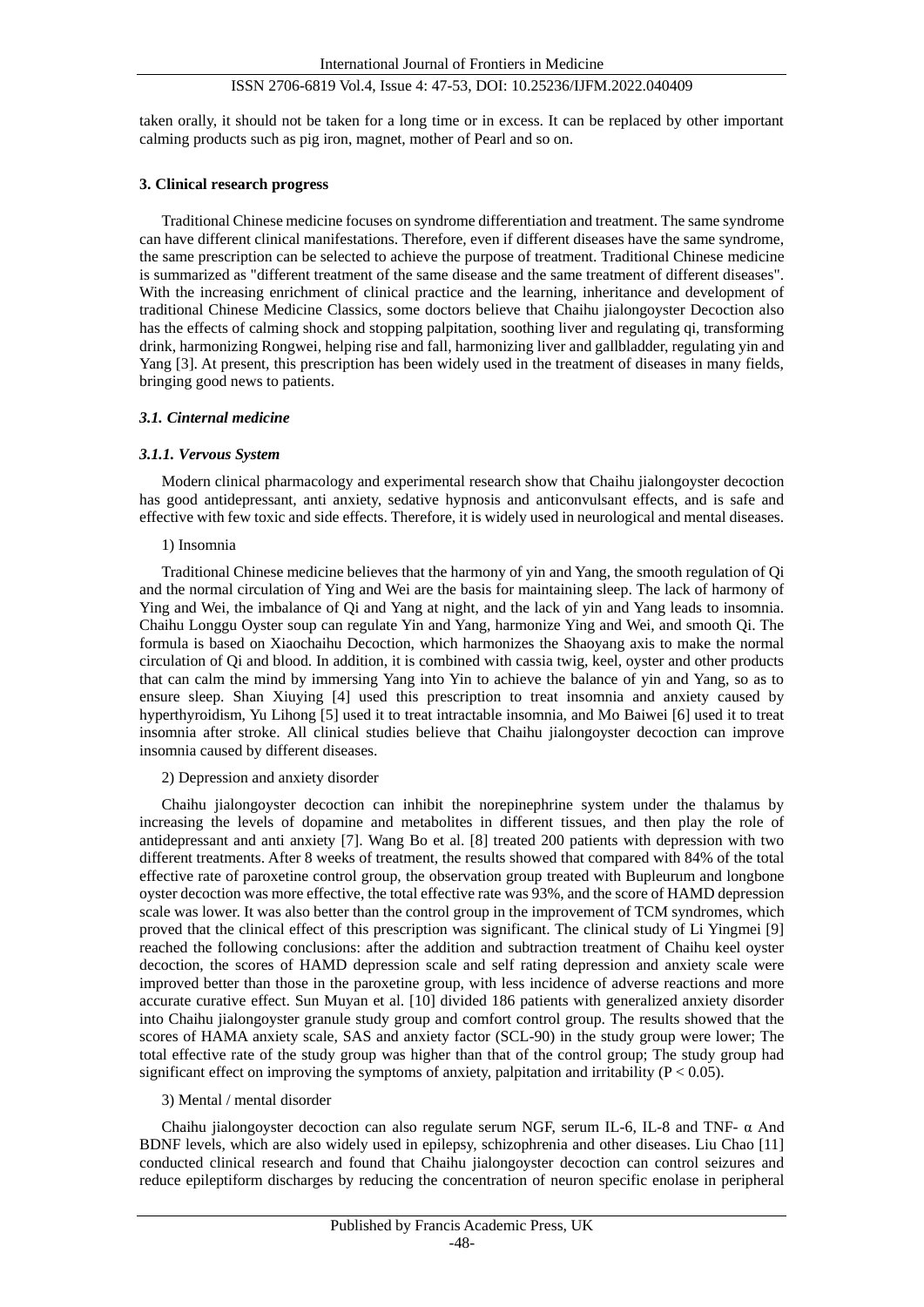taken orally, it should not be taken for a long time or in excess. It can be replaced by other important calming products such as pig iron, magnet, mother of Pearl and so on.

# **3. Clinical research progress**

Traditional Chinese medicine focuses on syndrome differentiation and treatment. The same syndrome can have different clinical manifestations. Therefore, even if different diseases have the same syndrome, the same prescription can be selected to achieve the purpose of treatment. Traditional Chinese medicine is summarized as "different treatment of the same disease and the same treatment of different diseases". With the increasing enrichment of clinical practice and the learning, inheritance and development of traditional Chinese Medicine Classics, some doctors believe that Chaihu jialongoyster Decoction also has the effects of calming shock and stopping palpitation, soothing liver and regulating qi, transforming drink, harmonizing Rongwei, helping rise and fall, harmonizing liver and gallbladder, regulating yin and Yang [3]. At present, this prescription has been widely used in the treatment of diseases in many fields, bringing good news to patients.

# *3.1. Cinternal medicine*

#### *3.1.1. Vervous System*

Modern clinical pharmacology and experimental research show that Chaihu jialongoyster decoction has good antidepressant, anti anxiety, sedative hypnosis and anticonvulsant effects, and is safe and effective with few toxic and side effects. Therefore, it is widely used in neurological and mental diseases.

#### 1) Insomnia

Traditional Chinese medicine believes that the harmony of yin and Yang, the smooth regulation of Qi and the normal circulation of Ying and Wei are the basis for maintaining sleep. The lack of harmony of Ying and Wei, the imbalance of Qi and Yang at night, and the lack of yin and Yang leads to insomnia. Chaihu Longgu Oyster soup can regulate Yin and Yang, harmonize Ying and Wei, and smooth Qi. The formula is based on Xiaochaihu Decoction, which harmonizes the Shaoyang axis to make the normal circulation of Qi and blood. In addition, it is combined with cassia twig, keel, oyster and other products that can calm the mind by immersing Yang into Yin to achieve the balance of yin and Yang, so as to ensure sleep. Shan Xiuying [4] used this prescription to treat insomnia and anxiety caused by hyperthyroidism, Yu Lihong [5] used it to treat intractable insomnia, and Mo Baiwei [6] used it to treat insomnia after stroke. All clinical studies believe that Chaihu jialongoyster decoction can improve insomnia caused by different diseases.

# 2) Depression and anxiety disorder

Chaihu jialongoyster decoction can inhibit the norepinephrine system under the thalamus by increasing the levels of dopamine and metabolites in different tissues, and then play the role of antidepressant and anti anxiety [7]. Wang Bo et al. [8] treated 200 patients with depression with two different treatments. After 8 weeks of treatment, the results showed that compared with 84% of the total effective rate of paroxetine control group, the observation group treated with Bupleurum and longbone oyster decoction was more effective, the total effective rate was 93%, and the score of HAMD depression scale was lower. It was also better than the control group in the improvement of TCM syndromes, which proved that the clinical effect of this prescription was significant. The clinical study of Li Yingmei [9] reached the following conclusions: after the addition and subtraction treatment of Chaihu keel oyster decoction, the scores of HAMD depression scale and self rating depression and anxiety scale were improved better than those in the paroxetine group, with less incidence of adverse reactions and more accurate curative effect. Sun Muyan et al. [10] divided 186 patients with generalized anxiety disorder into Chaihu jialongoyster granule study group and comfort control group. The results showed that the scores of HAMA anxiety scale, SAS and anxiety factor (SCL-90) in the study group were lower; The total effective rate of the study group was higher than that of the control group; The study group had significant effect on improving the symptoms of anxiety, palpitation and irritability ( $P < 0.05$ ).

#### 3) Mental / mental disorder

Chaihu jialongoyster decoction can also regulate serum NGF, serum IL-6, IL-8 and TNF-  $\alpha$  And BDNF levels, which are also widely used in epilepsy, schizophrenia and other diseases. Liu Chao [11] conducted clinical research and found that Chaihu jialongoyster decoction can control seizures and reduce epileptiform discharges by reducing the concentration of neuron specific enolase in peripheral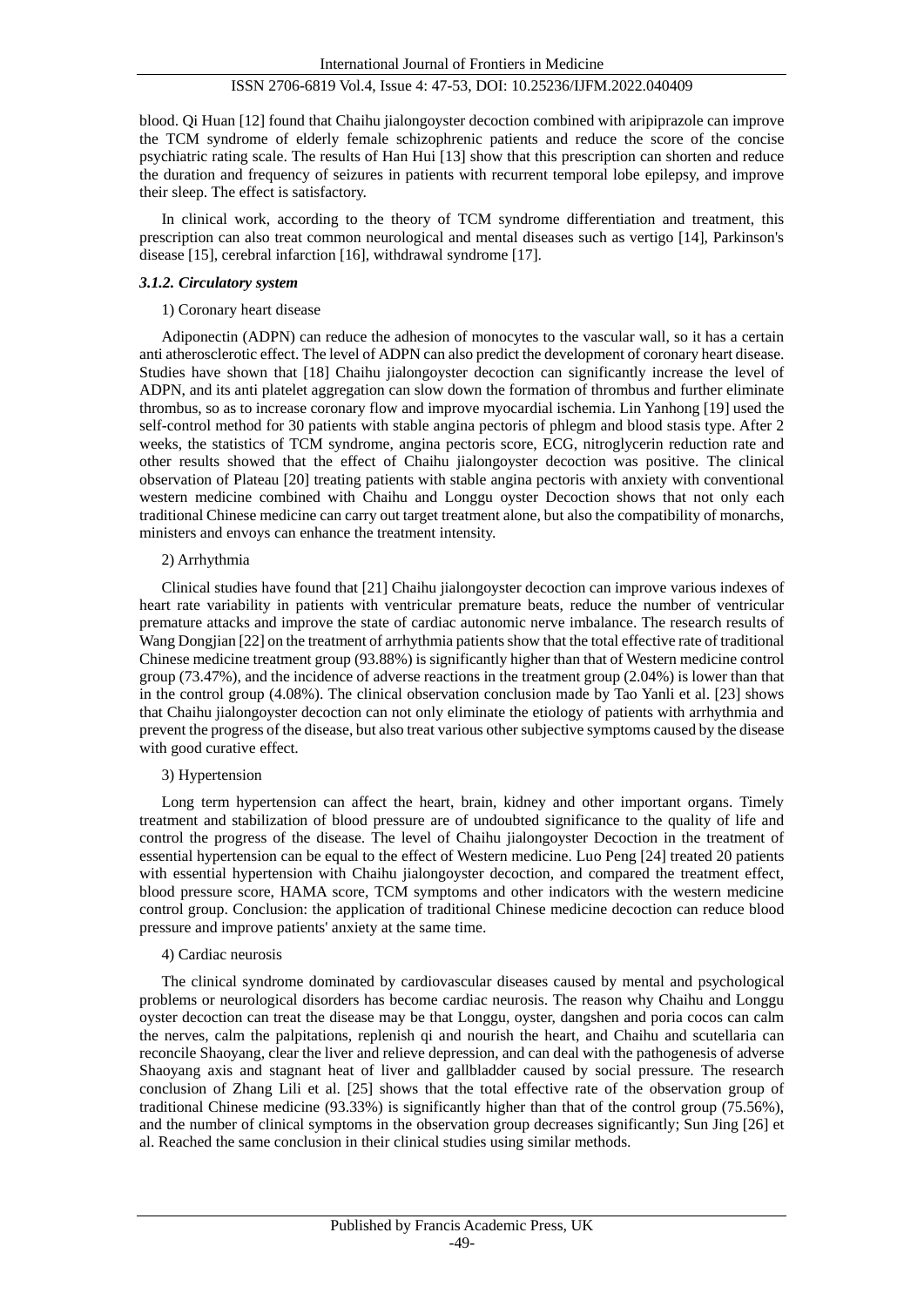blood. Qi Huan [12] found that Chaihu jialongoyster decoction combined with aripiprazole can improve the TCM syndrome of elderly female schizophrenic patients and reduce the score of the concise psychiatric rating scale. The results of Han Hui [13] show that this prescription can shorten and reduce the duration and frequency of seizures in patients with recurrent temporal lobe epilepsy, and improve their sleep. The effect is satisfactory.

In clinical work, according to the theory of TCM syndrome differentiation and treatment, this prescription can also treat common neurological and mental diseases such as vertigo [14], Parkinson's disease [15], cerebral infarction [16], withdrawal syndrome [17].

#### *3.1.2. Circulatory system*

#### 1) Coronary heart disease

Adiponectin (ADPN) can reduce the adhesion of monocytes to the vascular wall, so it has a certain anti atherosclerotic effect. The level of ADPN can also predict the development of coronary heart disease. Studies have shown that [18] Chaihu jialongoyster decoction can significantly increase the level of ADPN, and its anti platelet aggregation can slow down the formation of thrombus and further eliminate thrombus, so as to increase coronary flow and improve myocardial ischemia. Lin Yanhong [19] used the self-control method for 30 patients with stable angina pectoris of phlegm and blood stasis type. After 2 weeks, the statistics of TCM syndrome, angina pectoris score, ECG, nitroglycerin reduction rate and other results showed that the effect of Chaihu jialongoyster decoction was positive. The clinical observation of Plateau [20] treating patients with stable angina pectoris with anxiety with conventional western medicine combined with Chaihu and Longgu oyster Decoction shows that not only each traditional Chinese medicine can carry out target treatment alone, but also the compatibility of monarchs, ministers and envoys can enhance the treatment intensity.

#### 2) Arrhythmia

Clinical studies have found that [21] Chaihu jialongoyster decoction can improve various indexes of heart rate variability in patients with ventricular premature beats, reduce the number of ventricular premature attacks and improve the state of cardiac autonomic nerve imbalance. The research results of Wang Dongjian [22] on the treatment of arrhythmia patients show that the total effective rate of traditional Chinese medicine treatment group (93.88%) is significantly higher than that of Western medicine control group (73.47%), and the incidence of adverse reactions in the treatment group (2.04%) is lower than that in the control group (4.08%). The clinical observation conclusion made by Tao Yanli et al. [23] shows that Chaihu jialongoyster decoction can not only eliminate the etiology of patients with arrhythmia and prevent the progress of the disease, but also treat various other subjective symptoms caused by the disease with good curative effect.

#### 3) Hypertension

Long term hypertension can affect the heart, brain, kidney and other important organs. Timely treatment and stabilization of blood pressure are of undoubted significance to the quality of life and control the progress of the disease. The level of Chaihu jialongoyster Decoction in the treatment of essential hypertension can be equal to the effect of Western medicine. Luo Peng [24] treated 20 patients with essential hypertension with Chaihu jialongoyster decoction, and compared the treatment effect, blood pressure score, HAMA score, TCM symptoms and other indicators with the western medicine control group. Conclusion: the application of traditional Chinese medicine decoction can reduce blood pressure and improve patients' anxiety at the same time.

#### 4) Cardiac neurosis

The clinical syndrome dominated by cardiovascular diseases caused by mental and psychological problems or neurological disorders has become cardiac neurosis. The reason why Chaihu and Longgu oyster decoction can treat the disease may be that Longgu, oyster, dangshen and poria cocos can calm the nerves, calm the palpitations, replenish qi and nourish the heart, and Chaihu and scutellaria can reconcile Shaoyang, clear the liver and relieve depression, and can deal with the pathogenesis of adverse Shaoyang axis and stagnant heat of liver and gallbladder caused by social pressure. The research conclusion of Zhang Lili et al. [25] shows that the total effective rate of the observation group of traditional Chinese medicine (93.33%) is significantly higher than that of the control group (75.56%), and the number of clinical symptoms in the observation group decreases significantly; Sun Jing [26] et al. Reached the same conclusion in their clinical studies using similar methods.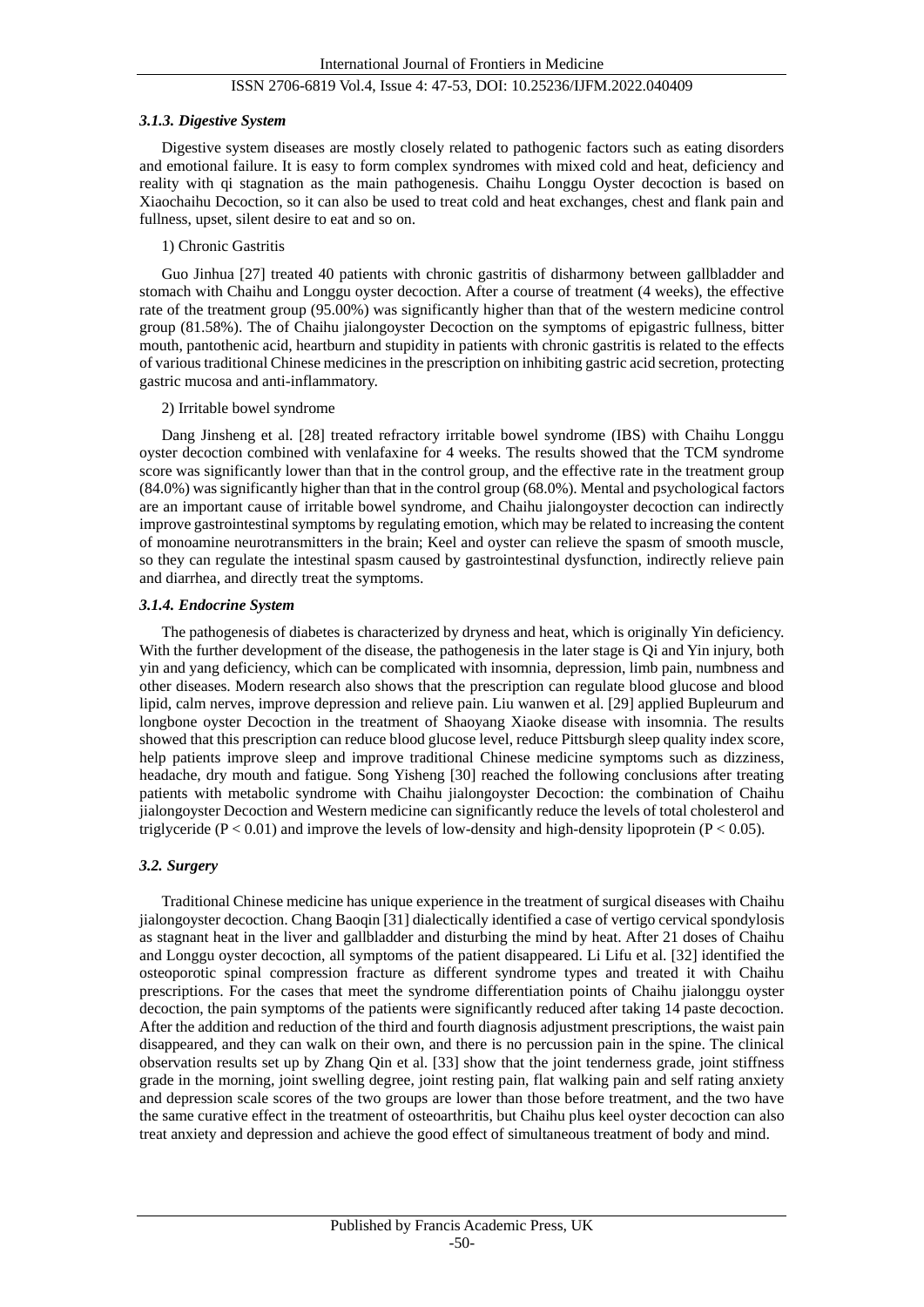#### *3.1.3. Digestive System*

Digestive system diseases are mostly closely related to pathogenic factors such as eating disorders and emotional failure. It is easy to form complex syndromes with mixed cold and heat, deficiency and reality with qi stagnation as the main pathogenesis. Chaihu Longgu Oyster decoction is based on Xiaochaihu Decoction, so it can also be used to treat cold and heat exchanges, chest and flank pain and fullness, upset, silent desire to eat and so on.

# 1) Chronic Gastritis

Guo Jinhua [27] treated 40 patients with chronic gastritis of disharmony between gallbladder and stomach with Chaihu and Longgu oyster decoction. After a course of treatment (4 weeks), the effective rate of the treatment group (95.00%) was significantly higher than that of the western medicine control group (81.58%). The of Chaihu jialongoyster Decoction on the symptoms of epigastric fullness, bitter mouth, pantothenic acid, heartburn and stupidity in patients with chronic gastritis is related to the effects of various traditional Chinese medicines in the prescription on inhibiting gastric acid secretion, protecting gastric mucosa and anti-inflammatory.

#### 2) Irritable bowel syndrome

Dang Jinsheng et al. [28] treated refractory irritable bowel syndrome (IBS) with Chaihu Longgu oyster decoction combined with venlafaxine for 4 weeks. The results showed that the TCM syndrome score was significantly lower than that in the control group, and the effective rate in the treatment group (84.0%) was significantly higher than that in the control group (68.0%). Mental and psychological factors are an important cause of irritable bowel syndrome, and Chaihu jialongoyster decoction can indirectly improve gastrointestinal symptoms by regulating emotion, which may be related to increasing the content of monoamine neurotransmitters in the brain; Keel and oyster can relieve the spasm of smooth muscle, so they can regulate the intestinal spasm caused by gastrointestinal dysfunction, indirectly relieve pain and diarrhea, and directly treat the symptoms.

#### *3.1.4. Endocrine System*

The pathogenesis of diabetes is characterized by dryness and heat, which is originally Yin deficiency. With the further development of the disease, the pathogenesis in the later stage is Qi and Yin injury, both yin and yang deficiency, which can be complicated with insomnia, depression, limb pain, numbness and other diseases. Modern research also shows that the prescription can regulate blood glucose and blood lipid, calm nerves, improve depression and relieve pain. Liu wanwen et al. [29] applied Bupleurum and longbone oyster Decoction in the treatment of Shaoyang Xiaoke disease with insomnia. The results showed that this prescription can reduce blood glucose level, reduce Pittsburgh sleep quality index score, help patients improve sleep and improve traditional Chinese medicine symptoms such as dizziness, headache, dry mouth and fatigue. Song Yisheng [30] reached the following conclusions after treating patients with metabolic syndrome with Chaihu jialongoyster Decoction: the combination of Chaihu jialongoyster Decoction and Western medicine can significantly reduce the levels of total cholesterol and triglyceride ( $P < 0.01$ ) and improve the levels of low-density and high-density lipoprotein ( $P < 0.05$ ).

# *3.2. Surgery*

Traditional Chinese medicine has unique experience in the treatment of surgical diseases with Chaihu jialongoyster decoction. Chang Baoqin [31] dialectically identified a case of vertigo cervical spondylosis as stagnant heat in the liver and gallbladder and disturbing the mind by heat. After 21 doses of Chaihu and Longgu oyster decoction, all symptoms of the patient disappeared. Li Lifu et al. [32] identified the osteoporotic spinal compression fracture as different syndrome types and treated it with Chaihu prescriptions. For the cases that meet the syndrome differentiation points of Chaihu jialonggu oyster decoction, the pain symptoms of the patients were significantly reduced after taking 14 paste decoction. After the addition and reduction of the third and fourth diagnosis adjustment prescriptions, the waist pain disappeared, and they can walk on their own, and there is no percussion pain in the spine. The clinical observation results set up by Zhang Qin et al. [33] show that the joint tenderness grade, joint stiffness grade in the morning, joint swelling degree, joint resting pain, flat walking pain and self rating anxiety and depression scale scores of the two groups are lower than those before treatment, and the two have the same curative effect in the treatment of osteoarthritis, but Chaihu plus keel oyster decoction can also treat anxiety and depression and achieve the good effect of simultaneous treatment of body and mind.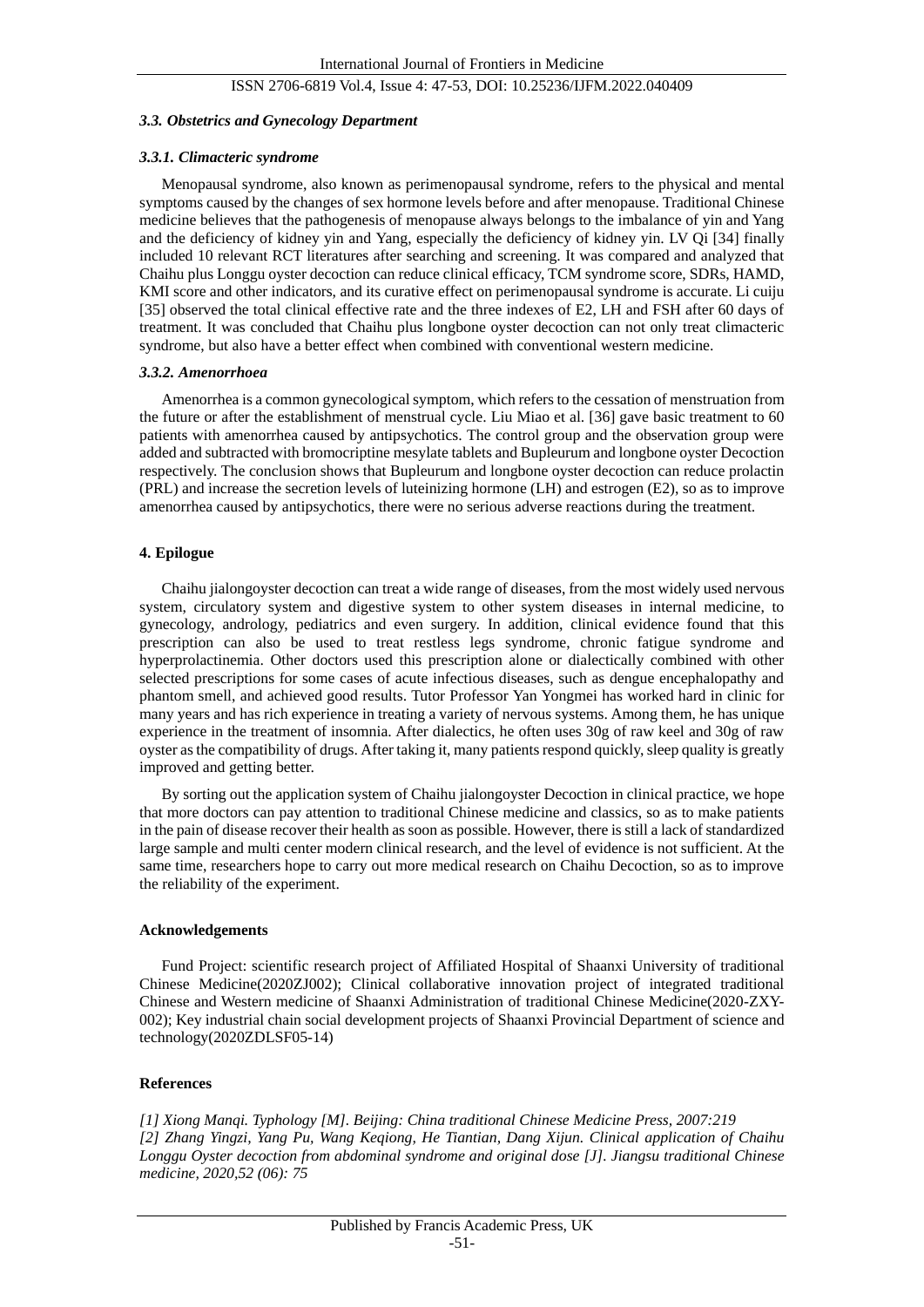#### *3.3. Obstetrics and Gynecology Department*

#### *3.3.1. Climacteric syndrome*

Menopausal syndrome, also known as perimenopausal syndrome, refers to the physical and mental symptoms caused by the changes of sex hormone levels before and after menopause. Traditional Chinese medicine believes that the pathogenesis of menopause always belongs to the imbalance of yin and Yang and the deficiency of kidney yin and Yang, especially the deficiency of kidney yin. LV Qi [34] finally included 10 relevant RCT literatures after searching and screening. It was compared and analyzed that Chaihu plus Longgu oyster decoction can reduce clinical efficacy, TCM syndrome score, SDRs, HAMD, KMI score and other indicators, and its curative effect on perimenopausal syndrome is accurate. Li cuiju [35] observed the total clinical effective rate and the three indexes of E2, LH and FSH after 60 days of treatment. It was concluded that Chaihu plus longbone oyster decoction can not only treat climacteric syndrome, but also have a better effect when combined with conventional western medicine.

#### *3.3.2. Amenorrhoea*

Amenorrhea is a common gynecological symptom, which refers to the cessation of menstruation from the future or after the establishment of menstrual cycle. Liu Miao et al. [36] gave basic treatment to 60 patients with amenorrhea caused by antipsychotics. The control group and the observation group were added and subtracted with bromocriptine mesylate tablets and Bupleurum and longbone oyster Decoction respectively. The conclusion shows that Bupleurum and longbone oyster decoction can reduce prolactin (PRL) and increase the secretion levels of luteinizing hormone (LH) and estrogen (E2), so as to improve amenorrhea caused by antipsychotics, there were no serious adverse reactions during the treatment.

#### **4. Epilogue**

Chaihu jialongoyster decoction can treat a wide range of diseases, from the most widely used nervous system, circulatory system and digestive system to other system diseases in internal medicine, to gynecology, andrology, pediatrics and even surgery. In addition, clinical evidence found that this prescription can also be used to treat restless legs syndrome, chronic fatigue syndrome and hyperprolactinemia. Other doctors used this prescription alone or dialectically combined with other selected prescriptions for some cases of acute infectious diseases, such as dengue encephalopathy and phantom smell, and achieved good results. Tutor Professor Yan Yongmei has worked hard in clinic for many years and has rich experience in treating a variety of nervous systems. Among them, he has unique experience in the treatment of insomnia. After dialectics, he often uses 30g of raw keel and 30g of raw oyster as the compatibility of drugs. After taking it, many patients respond quickly, sleep quality is greatly improved and getting better.

By sorting out the application system of Chaihu jialongoyster Decoction in clinical practice, we hope that more doctors can pay attention to traditional Chinese medicine and classics, so as to make patients in the pain of disease recover their health as soon as possible. However, there is still a lack of standardized large sample and multi center modern clinical research, and the level of evidence is not sufficient. At the same time, researchers hope to carry out more medical research on Chaihu Decoction, so as to improve the reliability of the experiment.

#### **Acknowledgements**

Fund Project: scientific research project of Affiliated Hospital of Shaanxi University of traditional Chinese Medicine(2020ZJ002); Clinical collaborative innovation project of integrated traditional Chinese and Western medicine of Shaanxi Administration of traditional Chinese Medicine(2020-ZXY-002); Key industrial chain social development projects of Shaanxi Provincial Department of science and technology(2020ZDLSF05-14)

# **References**

*[1] Xiong Manqi. Typhology [M]. Beijing: China traditional Chinese Medicine Press, 2007:219 [2] Zhang Yingzi, Yang Pu, Wang Keqiong, He Tiantian, Dang Xijun. Clinical application of Chaihu Longgu Oyster decoction from abdominal syndrome and original dose [J]. Jiangsu traditional Chinese medicine, 2020,52 (06): 75*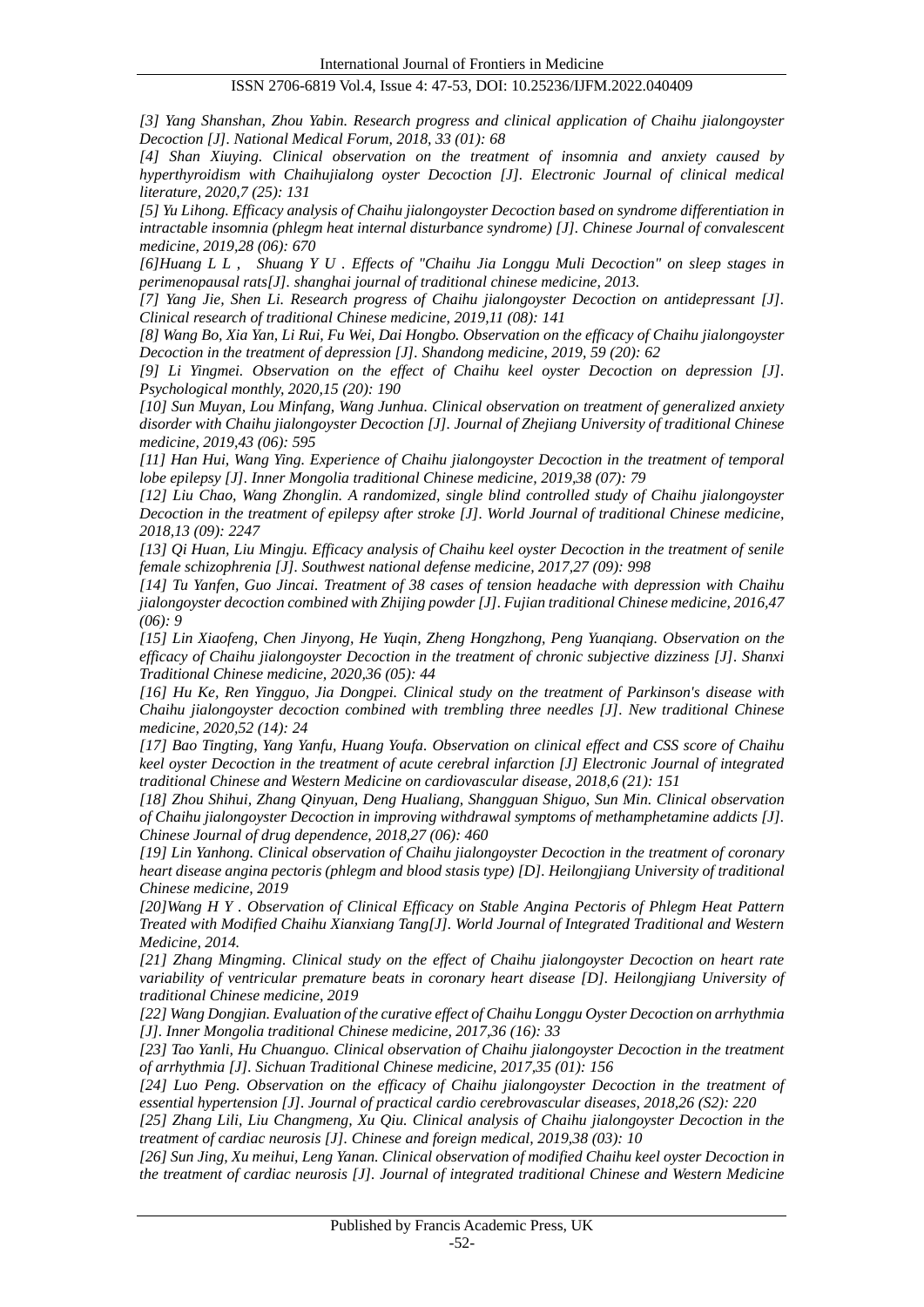*[3] Yang Shanshan, Zhou Yabin. Research progress and clinical application of Chaihu jialongoyster Decoction [J]. National Medical Forum, 2018, 33 (01): 68*

*[4] Shan Xiuying. Clinical observation on the treatment of insomnia and anxiety caused by hyperthyroidism with Chaihujialong oyster Decoction [J]. Electronic Journal of clinical medical literature, 2020,7 (25): 131*

*[5] Yu Lihong. Efficacy analysis of Chaihu jialongoyster Decoction based on syndrome differentiation in intractable insomnia (phlegm heat internal disturbance syndrome) [J]. Chinese Journal of convalescent medicine, 2019,28 (06): 670*

*[6]Huang L L , Shuang Y U . Effects of "Chaihu Jia Longgu Muli Decoction" on sleep stages in perimenopausal rats[J]. shanghai journal of traditional chinese medicine, 2013.*

*[7] Yang Jie, Shen Li. Research progress of Chaihu jialongoyster Decoction on antidepressant [J]. Clinical research of traditional Chinese medicine, 2019,11 (08): 141*

*[8] Wang Bo, Xia Yan, Li Rui, Fu Wei, Dai Hongbo. Observation on the efficacy of Chaihu jialongoyster Decoction in the treatment of depression [J]. Shandong medicine, 2019, 59 (20): 62*

*[9] Li Yingmei. Observation on the effect of Chaihu keel oyster Decoction on depression [J]. Psychological monthly, 2020,15 (20): 190*

*[10] Sun Muyan, Lou Minfang, Wang Junhua. Clinical observation on treatment of generalized anxiety disorder with Chaihu jialongoyster Decoction [J]. Journal of Zhejiang University of traditional Chinese medicine, 2019,43 (06): 595*

*[11] Han Hui, Wang Ying. Experience of Chaihu jialongoyster Decoction in the treatment of temporal lobe epilepsy [J]. Inner Mongolia traditional Chinese medicine, 2019,38 (07): 79*

*[12] Liu Chao, Wang Zhonglin. A randomized, single blind controlled study of Chaihu jialongoyster Decoction in the treatment of epilepsy after stroke [J]. World Journal of traditional Chinese medicine, 2018,13 (09): 2247*

*[13] Qi Huan, Liu Mingju. Efficacy analysis of Chaihu keel oyster Decoction in the treatment of senile female schizophrenia [J]. Southwest national defense medicine, 2017,27 (09): 998*

*[14] Tu Yanfen, Guo Jincai. Treatment of 38 cases of tension headache with depression with Chaihu jialongoyster decoction combined with Zhijing powder [J]. Fujian traditional Chinese medicine, 2016,47 (06): 9*

*[15] Lin Xiaofeng, Chen Jinyong, He Yuqin, Zheng Hongzhong, Peng Yuanqiang. Observation on the efficacy of Chaihu jialongoyster Decoction in the treatment of chronic subjective dizziness [J]. Shanxi Traditional Chinese medicine, 2020,36 (05): 44*

*[16] Hu Ke, Ren Yingguo, Jia Dongpei. Clinical study on the treatment of Parkinson's disease with Chaihu jialongoyster decoction combined with trembling three needles [J]. New traditional Chinese medicine, 2020,52 (14): 24*

*[17] Bao Tingting, Yang Yanfu, Huang Youfa. Observation on clinical effect and CSS score of Chaihu keel oyster Decoction in the treatment of acute cerebral infarction [J] Electronic Journal of integrated traditional Chinese and Western Medicine on cardiovascular disease, 2018,6 (21): 151*

*[18] Zhou Shihui, Zhang Qinyuan, Deng Hualiang, Shangguan Shiguo, Sun Min. Clinical observation of Chaihu jialongoyster Decoction in improving withdrawal symptoms of methamphetamine addicts [J]. Chinese Journal of drug dependence, 2018,27 (06): 460*

*[19] Lin Yanhong. Clinical observation of Chaihu jialongoyster Decoction in the treatment of coronary heart disease angina pectoris (phlegm and blood stasis type) [D]. Heilongjiang University of traditional Chinese medicine, 2019*

*[20]Wang H Y . Observation of Clinical Efficacy on Stable Angina Pectoris of Phlegm Heat Pattern Treated with Modified Chaihu Xianxiang Tang[J]. World Journal of Integrated Traditional and Western Medicine, 2014.*

*[21] Zhang Mingming. Clinical study on the effect of Chaihu jialongoyster Decoction on heart rate variability of ventricular premature beats in coronary heart disease [D]. Heilongjiang University of traditional Chinese medicine, 2019*

*[22] Wang Dongjian. Evaluation of the curative effect of Chaihu Longgu Oyster Decoction on arrhythmia [J]. Inner Mongolia traditional Chinese medicine, 2017,36 (16): 33*

*[23] Tao Yanli, Hu Chuanguo. Clinical observation of Chaihu jialongoyster Decoction in the treatment of arrhythmia [J]. Sichuan Traditional Chinese medicine, 2017,35 (01): 156*

*[24] Luo Peng. Observation on the efficacy of Chaihu jialongoyster Decoction in the treatment of essential hypertension [J]. Journal of practical cardio cerebrovascular diseases, 2018,26 (S2): 220*

*[25] Zhang Lili, Liu Changmeng, Xu Qiu. Clinical analysis of Chaihu jialongoyster Decoction in the treatment of cardiac neurosis [J]. Chinese and foreign medical, 2019,38 (03): 10*

*[26] Sun Jing, Xu meihui, Leng Yanan. Clinical observation of modified Chaihu keel oyster Decoction in the treatment of cardiac neurosis [J]. Journal of integrated traditional Chinese and Western Medicine*